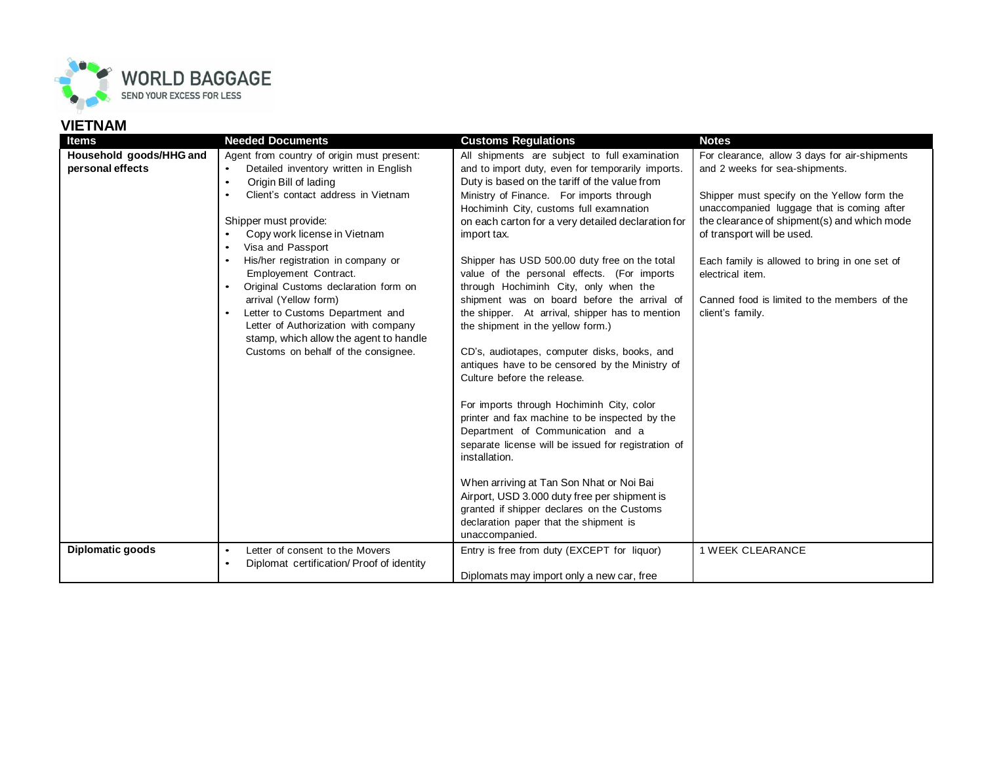

## **VIETNAM**

| <b>Items</b>            | <b>Needed Documents</b>                                                                                                                                                                                                                                                                                                                                                                                                                                                                                                 | <b>Customs Requlations</b>                                                                                                                                                                                                                                                                                                                                                                                                                                                                                                                                                                                                                                                                                                                                                                                                                                                  | <b>Notes</b>                                                                                                                                                                                                                                                                                                                                      |
|-------------------------|-------------------------------------------------------------------------------------------------------------------------------------------------------------------------------------------------------------------------------------------------------------------------------------------------------------------------------------------------------------------------------------------------------------------------------------------------------------------------------------------------------------------------|-----------------------------------------------------------------------------------------------------------------------------------------------------------------------------------------------------------------------------------------------------------------------------------------------------------------------------------------------------------------------------------------------------------------------------------------------------------------------------------------------------------------------------------------------------------------------------------------------------------------------------------------------------------------------------------------------------------------------------------------------------------------------------------------------------------------------------------------------------------------------------|---------------------------------------------------------------------------------------------------------------------------------------------------------------------------------------------------------------------------------------------------------------------------------------------------------------------------------------------------|
| Household goods/HHG and | Agent from country of origin must present:                                                                                                                                                                                                                                                                                                                                                                                                                                                                              | All shipments are subject to full examination                                                                                                                                                                                                                                                                                                                                                                                                                                                                                                                                                                                                                                                                                                                                                                                                                               | For clearance, allow 3 days for air-shipments                                                                                                                                                                                                                                                                                                     |
|                         | $\bullet$                                                                                                                                                                                                                                                                                                                                                                                                                                                                                                               |                                                                                                                                                                                                                                                                                                                                                                                                                                                                                                                                                                                                                                                                                                                                                                                                                                                                             |                                                                                                                                                                                                                                                                                                                                                   |
| personal effects        | Detailed inventory written in English<br>Origin Bill of lading<br>$\bullet$<br>Client's contact address in Vietnam<br>$\bullet$<br>Shipper must provide:<br>Copy work license in Vietnam<br>Visa and Passport<br>His/her registration in company or<br>Employement Contract.<br>Original Customs declaration form on<br>$\bullet$<br>arrival (Yellow form)<br>Letter to Customs Department and<br>Letter of Authorization with company<br>stamp, which allow the agent to handle<br>Customs on behalf of the consignee. | and to import duty, even for temporarily imports.<br>Duty is based on the tariff of the value from<br>Ministry of Finance. For imports through<br>Hochiminh City, customs full examnation<br>on each carton for a very detailed declaration for<br>import tax.<br>Shipper has USD 500.00 duty free on the total<br>value of the personal effects. (For imports<br>through Hochiminh City, only when the<br>shipment was on board before the arrival of<br>the shipper. At arrival, shipper has to mention<br>the shipment in the yellow form.)<br>CD's, audiotapes, computer disks, books, and<br>antiques have to be censored by the Ministry of<br>Culture before the release.<br>For imports through Hochiminh City, color<br>printer and fax machine to be inspected by the<br>Department of Communication and a<br>separate license will be issued for registration of | and 2 weeks for sea-shipments.<br>Shipper must specify on the Yellow form the<br>unaccompanied luggage that is coming after<br>the clearance of shipment(s) and which mode<br>of transport will be used.<br>Each family is allowed to bring in one set of<br>electrical item.<br>Canned food is limited to the members of the<br>client's family. |
|                         |                                                                                                                                                                                                                                                                                                                                                                                                                                                                                                                         | installation.                                                                                                                                                                                                                                                                                                                                                                                                                                                                                                                                                                                                                                                                                                                                                                                                                                                               |                                                                                                                                                                                                                                                                                                                                                   |
|                         |                                                                                                                                                                                                                                                                                                                                                                                                                                                                                                                         | When arriving at Tan Son Nhat or Noi Bai<br>Airport, USD 3.000 duty free per shipment is<br>granted if shipper declares on the Customs<br>declaration paper that the shipment is<br>unaccompanied.                                                                                                                                                                                                                                                                                                                                                                                                                                                                                                                                                                                                                                                                          |                                                                                                                                                                                                                                                                                                                                                   |
| Diplomatic goods        | Letter of consent to the Movers<br>$\bullet$<br>$\bullet$                                                                                                                                                                                                                                                                                                                                                                                                                                                               | Entry is free from duty (EXCEPT for liquor)                                                                                                                                                                                                                                                                                                                                                                                                                                                                                                                                                                                                                                                                                                                                                                                                                                 | <b>1 WEEK CLEARANCE</b>                                                                                                                                                                                                                                                                                                                           |
|                         | Diplomat certification/Proof of identity                                                                                                                                                                                                                                                                                                                                                                                                                                                                                | Diplomats may import only a new car, free                                                                                                                                                                                                                                                                                                                                                                                                                                                                                                                                                                                                                                                                                                                                                                                                                                   |                                                                                                                                                                                                                                                                                                                                                   |